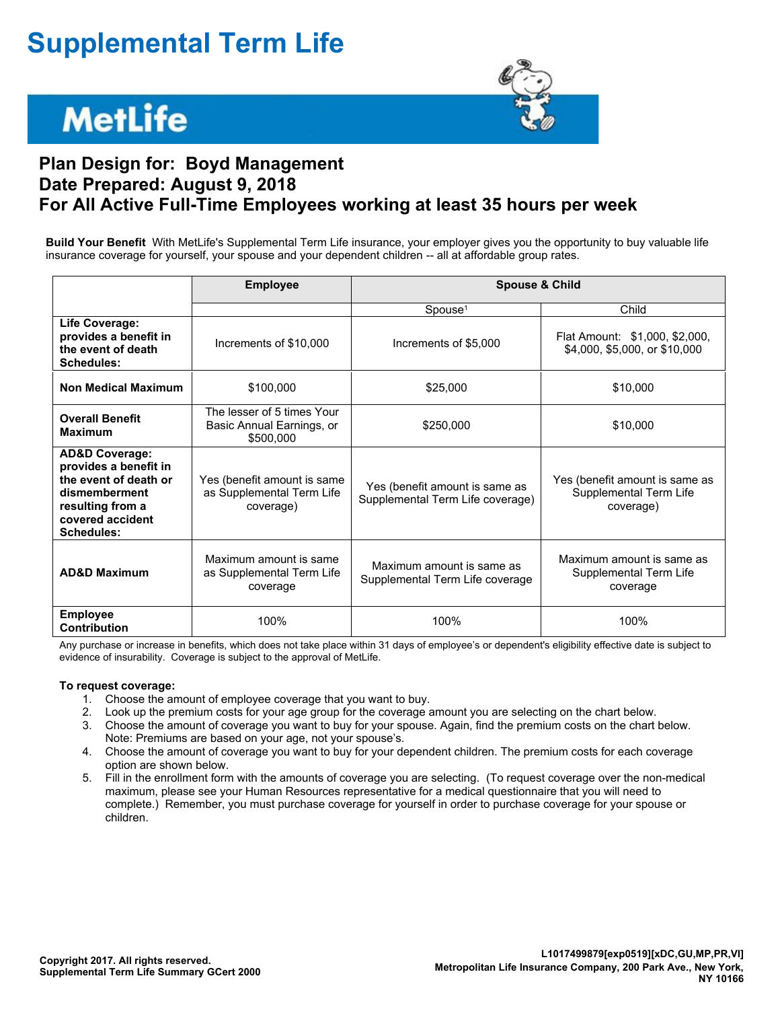## **Supplemental Term Life**

# **MetLife**



### **Plan Design for: Boyd Management Date Prepared: August 9, 2018 For All Active Full-Time Employees working at least 35 hours per week**

**Build Your Benefit** With MetLife's Supplemental Term Life insurance, your employer gives you the opportunity to buy valuable life insurance coverage for yourself, your spouse and your dependent children -- all at affordable group rates.

|                                                                                                                                                    | <b>Employee</b>                                                       | <b>Spouse &amp; Child</b>                                          |                                                                       |  |  |
|----------------------------------------------------------------------------------------------------------------------------------------------------|-----------------------------------------------------------------------|--------------------------------------------------------------------|-----------------------------------------------------------------------|--|--|
|                                                                                                                                                    |                                                                       | $S$ pouse <sup>1</sup>                                             | Child                                                                 |  |  |
| Life Coverage:<br>provides a benefit in<br>the event of death<br>Schedules:                                                                        | Increments of \$10,000                                                | Increments of \$5,000                                              | Flat Amount: \$1,000, \$2,000,<br>\$4,000, \$5,000, or \$10,000       |  |  |
| <b>Non Medical Maximum</b>                                                                                                                         | \$100,000                                                             | \$25,000                                                           | \$10,000                                                              |  |  |
| <b>Overall Benefit</b><br><b>Maximum</b>                                                                                                           | The lesser of 5 times Your<br>Basic Annual Earnings, or<br>\$500,000  | \$250,000                                                          | \$10,000                                                              |  |  |
| <b>AD&amp;D Coverage:</b><br>provides a benefit in<br>the event of death or<br>dismemberment<br>resulting from a<br>covered accident<br>Schedules: | Yes (benefit amount is same<br>as Supplemental Term Life<br>coverage) | Yes (benefit amount is same as<br>Supplemental Term Life coverage) | Yes (benefit amount is same as<br>Supplemental Term Life<br>coverage) |  |  |
| <b>AD&amp;D Maximum</b>                                                                                                                            | Maximum amount is same<br>as Supplemental Term Life<br>coverage       | Maximum amount is same as<br>Supplemental Term Life coverage       | Maximum amount is same as<br>Supplemental Term Life<br>coverage       |  |  |
| <b>Employee</b><br><b>Contribution</b>                                                                                                             | 100%                                                                  | 100%                                                               | 100%                                                                  |  |  |

Any purchase or increase in benefits, which does not take place within 31 days of employee's or dependent's eligibility effective date is subject to evidence of insurability. Coverage is subject to the approval of MetLife.

#### **To request coverage:**

- 1. Choose the amount of employee coverage that you want to buy.
- 2. Look up the premium costs for your age group for the coverage amount you are selecting on the chart below.
- 3. Choose the amount of coverage you want to buy for your spouse. Again, find the premium costs on the chart below. Note: Premiums are based on your age, not your spouse's.
- 4. Choose the amount of coverage you want to buy for your dependent children. The premium costs for each coverage option are shown below.
- 5. Fill in the enrollment form with the amounts of coverage you are selecting. (To request coverage over the non-medical maximum, please see your Human Resources representative for a medical questionnaire that you will need to complete.) Remember, you must purchase coverage for yourself in order to purchase coverage for your spouse or children.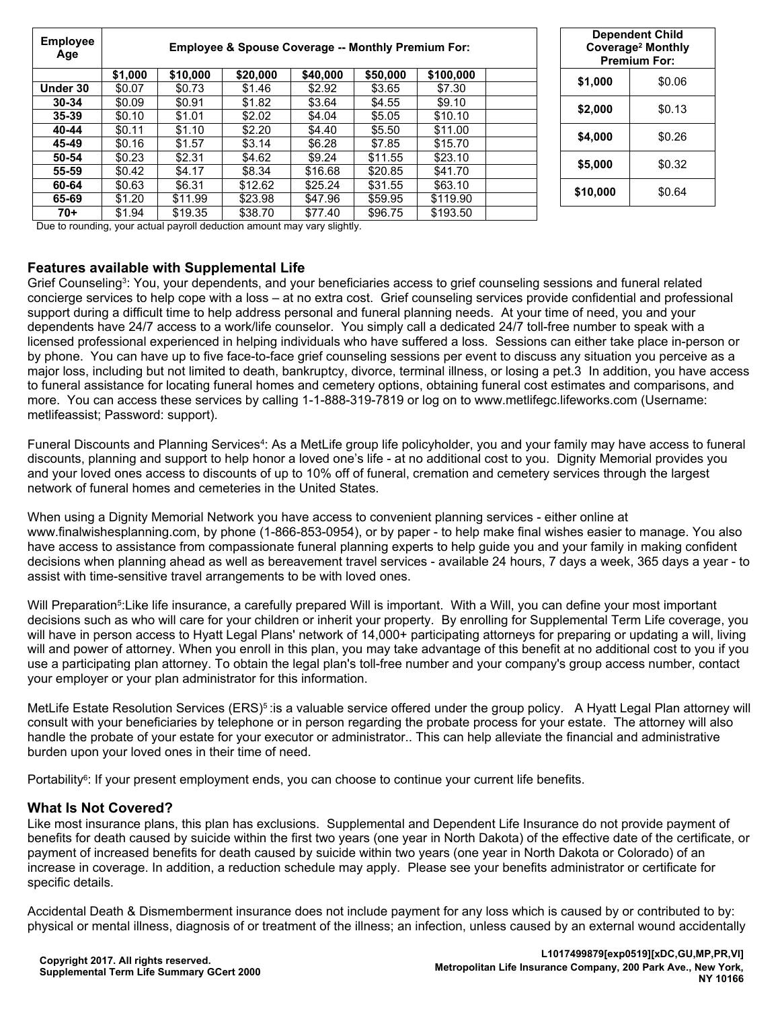| <b>Employee</b><br>Age | Employee & Spouse Coverage -- Monthly Premium For: |          |          |          |          |           |  | <b>Dependent Child</b><br>Coverage <sup>2</sup> Monthly<br><b>Premium For:</b> |        |
|------------------------|----------------------------------------------------|----------|----------|----------|----------|-----------|--|--------------------------------------------------------------------------------|--------|
|                        | \$1,000                                            | \$10,000 | \$20,000 | \$40,000 | \$50,000 | \$100,000 |  |                                                                                |        |
| Under 30               | \$0.07                                             | \$0.73   | \$1.46   | \$2.92   | \$3.65   | \$7.30    |  | \$1,000                                                                        | \$0.06 |
| $30 - 34$              | \$0.09                                             | \$0.91   | \$1.82   | \$3.64   | \$4.55   | \$9.10    |  | \$2,000                                                                        | \$0.13 |
| $35 - 39$              | \$0.10                                             | \$1.01   | \$2.02   | \$4.04   | \$5.05   | \$10.10   |  |                                                                                |        |
| 40-44                  | \$0.11                                             | \$1.10   | \$2.20   | \$4.40   | \$5.50   | \$11.00   |  | \$4,000                                                                        | \$0.26 |
| 45-49                  | \$0.16                                             | \$1.57   | \$3.14   | \$6.28   | \$7.85   | \$15.70   |  |                                                                                |        |
| 50-54                  | \$0.23                                             | \$2.31   | \$4.62   | \$9.24   | \$11.55  | \$23.10   |  | \$5,000                                                                        | \$0.32 |
| 55-59                  | \$0.42                                             | \$4.17   | \$8.34   | \$16.68  | \$20.85  | \$41.70   |  |                                                                                |        |
| 60-64                  | \$0.63                                             | \$6.31   | \$12.62  | \$25.24  | \$31.55  | \$63.10   |  | \$10,000                                                                       | \$0.64 |
| 65-69                  | \$1.20                                             | \$11.99  | \$23.98  | \$47.96  | \$59.95  | \$119.90  |  |                                                                                |        |
| 70+                    | \$1.94                                             | \$19.35  | \$38.70  | \$77.40  | \$96.75  | \$193.50  |  |                                                                                |        |

Due to rounding, your actual payroll deduction amount may vary slightly.

#### **Features available with Supplemental Life**

Grief Counseling<sup>3</sup>: You, your dependents, and your beneficiaries access to grief counseling sessions and funeral related concierge services to help cope with a loss – at no extra cost. Grief counseling services provide confidential and professional support during a difficult time to help address personal and funeral planning needs. At your time of need, you and your dependents have 24/7 access to a work/life counselor. You simply call a dedicated 24/7 toll-free number to speak with a licensed professional experienced in helping individuals who have suffered a loss. Sessions can either take place in-person or by phone. You can have up to five face-to-face grief counseling sessions per event to discuss any situation you perceive as a major loss, including but not limited to death, bankruptcy, divorce, terminal illness, or losing a pet.3 In addition, you have access to funeral assistance for locating funeral homes and cemetery options, obtaining funeral cost estimates and comparisons, and more. You can access these services by calling 1-1-888-319-7819 or log on to www.metlifegc.lifeworks.com (Username: metlifeassist; Password: support).

Funeral Discounts and Planning Services<sup>4</sup>: As a MetLife group life policyholder, you and your family may have access to funeral discounts, planning and support to help honor a loved one's life - at no additional cost to you. Dignity Memorial provides you and your loved ones access to discounts of up to 10% off of funeral, cremation and cemetery services through the largest network of funeral homes and cemeteries in the United States.

When using a Dignity Memorial Network you have access to convenient planning services - either online at www.finalwishesplanning.com, by phone (1-866-853-0954), or by paper - to help make final wishes easier to manage. You also have access to assistance from compassionate funeral planning experts to help guide you and your family in making confident decisions when planning ahead as well as bereavement travel services - available 24 hours, 7 days a week, 365 days a year - to assist with time-sensitive travel arrangements to be with loved ones.

Will Preparation<sup>5</sup>:Like life insurance, a carefully prepared Will is important. With a Will, you can define your most important decisions such as who will care for your children or inherit your property. By enrolling for Supplemental Term Life coverage, you will have in person access to Hyatt Legal Plans' network of 14,000+ participating attorneys for preparing or updating a will, living will and power of attorney. When you enroll in this plan, you may take advantage of this benefit at no additional cost to you if you use a participating plan attorney. To obtain the legal plan's toll-free number and your company's group access number, contact your employer or your plan administrator for this information.

MetLife Estate Resolution Services (ERS)<sup>s</sup> :is a valuable service offered under the group policy. A Hyatt Legal Plan attorney will consult with your beneficiaries by telephone or in person regarding the probate process for your estate. The attorney will also handle the probate of your estate for your executor or administrator.. This can help alleviate the financial and administrative burden upon your loved ones in their time of need.

Portability<sup>6</sup>: If your present employment ends, you can choose to continue your current life benefits.

#### **What Is Not Covered?**

Like most insurance plans, this plan has exclusions. Supplemental and Dependent Life Insurance do not provide payment of benefits for death caused by suicide within the first two years (one year in North Dakota) of the effective date of the certificate, or payment of increased benefits for death caused by suicide within two years (one year in North Dakota or Colorado) of an increase in coverage. In addition, a reduction schedule may apply. Please see your benefits administrator or certificate for specific details.

Accidental Death & Dismemberment insurance does not include payment for any loss which is caused by or contributed to by: physical or mental illness, diagnosis of or treatment of the illness; an infection, unless caused by an external wound accidentally